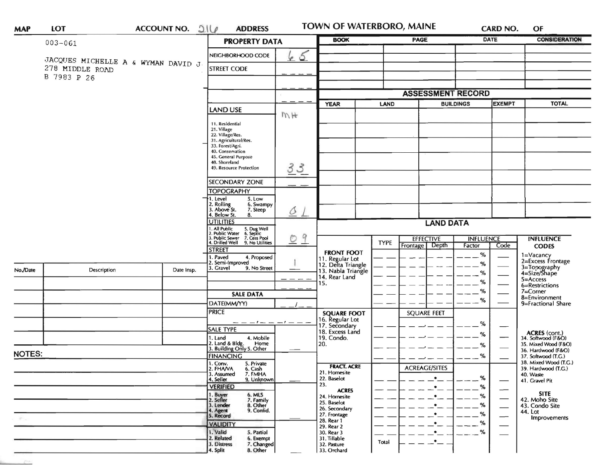| <b>MAP</b>                 | LOT                                                    |  | ACCOUNT NO. 216                                                                                                                        | <b>ADDRESS</b>                                                                                                                                                                                                                                                                                                                                           |                                                                                                      | TOWN OF WATERBORO, MAINE                                                                                                 |                                                                                                 |                    | <b>CARD NO.</b>             |                                                                                                                                                                 | OF                                                                                                |
|----------------------------|--------------------------------------------------------|--|----------------------------------------------------------------------------------------------------------------------------------------|----------------------------------------------------------------------------------------------------------------------------------------------------------------------------------------------------------------------------------------------------------------------------------------------------------------------------------------------------------|------------------------------------------------------------------------------------------------------|--------------------------------------------------------------------------------------------------------------------------|-------------------------------------------------------------------------------------------------|--------------------|-----------------------------|-----------------------------------------------------------------------------------------------------------------------------------------------------------------|---------------------------------------------------------------------------------------------------|
|                            | $003 - 061$                                            |  |                                                                                                                                        | <b>PROPERTY DATA</b>                                                                                                                                                                                                                                                                                                                                     |                                                                                                      | <b>BOOK</b>                                                                                                              |                                                                                                 | PAGE               |                             | <b>DATE</b>                                                                                                                                                     | <b>CONSIDERATION</b>                                                                              |
|                            | JACQUES MICHELLE A & WYMAN DAVID J.<br>278 MIDDLE ROAD |  | NEIGHBORHOOD CODE<br><b>STREET CODE</b>                                                                                                | 65                                                                                                                                                                                                                                                                                                                                                       |                                                                                                      |                                                                                                                          |                                                                                                 |                    |                             |                                                                                                                                                                 |                                                                                                   |
|                            | B 7983 P 26                                            |  |                                                                                                                                        |                                                                                                                                                                                                                                                                                                                                                          |                                                                                                      |                                                                                                                          |                                                                                                 |                    |                             |                                                                                                                                                                 |                                                                                                   |
|                            |                                                        |  |                                                                                                                                        |                                                                                                                                                                                                                                                                                                                                                          | <b>ASSESSMENT RECORD</b>                                                                             |                                                                                                                          |                                                                                                 |                    |                             |                                                                                                                                                                 |                                                                                                   |
|                            |                                                        |  |                                                                                                                                        | <b>LAND USE</b>                                                                                                                                                                                                                                                                                                                                          |                                                                                                      | <b>YEAR</b>                                                                                                              | LAND                                                                                            | <b>BUILDINGS</b>   |                             | <b>EXEMPT</b>                                                                                                                                                   | <b>TOTAL</b>                                                                                      |
|                            |                                                        |  |                                                                                                                                        | 11. Residential<br>21. Village<br>22. Village/Res.<br>31. Agricultural/Res.<br>33. Forest/Agri.<br>40. Conservation<br>45. General Purpose<br>48. Shoreland                                                                                                                                                                                              | MH                                                                                                   |                                                                                                                          |                                                                                                 |                    |                             |                                                                                                                                                                 |                                                                                                   |
|                            |                                                        |  |                                                                                                                                        | 49. Resource Protection                                                                                                                                                                                                                                                                                                                                  | 33                                                                                                   |                                                                                                                          |                                                                                                 |                    |                             |                                                                                                                                                                 |                                                                                                   |
|                            |                                                        |  |                                                                                                                                        | <b>SECONDARY ZONE</b>                                                                                                                                                                                                                                                                                                                                    |                                                                                                      |                                                                                                                          |                                                                                                 |                    |                             |                                                                                                                                                                 |                                                                                                   |
|                            |                                                        |  |                                                                                                                                        | <b>TOPOGRAPHY</b><br>1. Level<br>5. Low                                                                                                                                                                                                                                                                                                                  |                                                                                                      |                                                                                                                          |                                                                                                 |                    |                             |                                                                                                                                                                 |                                                                                                   |
|                            |                                                        |  |                                                                                                                                        | 2. Rolling<br>3. Above St.<br>6. Swampy<br>7. Steep<br>4. Below St.<br>8.                                                                                                                                                                                                                                                                                | $\triangle$                                                                                          |                                                                                                                          |                                                                                                 |                    |                             |                                                                                                                                                                 |                                                                                                   |
|                            |                                                        |  | <b>UTILITIES</b>                                                                                                                       |                                                                                                                                                                                                                                                                                                                                                          | <b>LAND DATA</b>                                                                                     |                                                                                                                          |                                                                                                 |                    |                             |                                                                                                                                                                 |                                                                                                   |
|                            |                                                        |  |                                                                                                                                        | 1. All Public 5. Dug Well<br>2. Public Water 6. Septic<br>3. Public Sewer 7. Cess Pool<br>4. Drilled Well 9. No Utilities                                                                                                                                                                                                                                | 9<br>O                                                                                               |                                                                                                                          | <b>TYPE</b>                                                                                     | <b>EFFECTIVE</b>   | <b>INFLUENCE</b>            |                                                                                                                                                                 | <b>INFLUENCE</b>                                                                                  |
| No./Date                   | Description                                            |  | Date Insp.                                                                                                                             | <b>STREET</b><br>1. Paved<br>4. Proposed<br>2. Semi-Improved<br>3. Gravel<br>9. No Street                                                                                                                                                                                                                                                                |                                                                                                      | <b>FRONT FOOT</b><br>11. Regular Lot<br>12. Delta Triangle<br>13. Nabla Triangle<br>14. Rear Land                        |                                                                                                 | Frontage Depth     | Factor<br>$\%$<br>%<br>$\%$ | Code                                                                                                                                                            | <b>CODES</b><br>1=Vacancy<br>2=Excess Frontage<br>3=Topography<br>4=Size/Shape                    |
|                            |                                                        |  |                                                                                                                                        |                                                                                                                                                                                                                                                                                                                                                          |                                                                                                      | 15.                                                                                                                      |                                                                                                 |                    | $\%$                        |                                                                                                                                                                 | 5=Access<br>6=Restrictions                                                                        |
|                            |                                                        |  |                                                                                                                                        | <b>SALE DATA</b>                                                                                                                                                                                                                                                                                                                                         |                                                                                                      |                                                                                                                          |                                                                                                 | $\%$               | %<br>%<br>%<br>%<br>%       | $7 =$ Corner<br>8=Environment<br>9=Fractional Share<br>ACRES (cont.)<br>34. Softwood (F&O)<br>35. Mixed Wood (F&O)<br>36. Hardwood (F&O)<br>37. Softwood (T.G.) |                                                                                                   |
|                            |                                                        |  |                                                                                                                                        | DATE(MM/YY)                                                                                                                                                                                                                                                                                                                                              |                                                                                                      |                                                                                                                          |                                                                                                 | <b>SQUARE FEET</b> |                             |                                                                                                                                                                 |                                                                                                   |
| <b>NOTES:</b>              |                                                        |  |                                                                                                                                        | <b>PRICE</b><br>SALE TYPE<br>1. Land<br>4. Mobile<br>2. Land & Bldg.<br>Home<br>3. Building Only 5. Other<br><b>FINANCING</b><br>1. Conv.<br>5. Private<br>2. FHAVA<br>6. Cash<br>7. FMHA<br>3. Assumed<br>4. Seller<br>9. Unknown<br><b>VERIFIED</b><br>1. Buyer<br>2. Seller<br>6. MLS<br>7. Family<br>3. Lender<br>8. Other<br>4. Agent<br>9. Confid. |                                                                                                      | <b>SQUARE FOOT</b><br>16. Regular Lot<br>17. Secondary<br>18. Excess Land<br>19. Condo.<br>20.                           |                                                                                                 |                    |                             |                                                                                                                                                                 |                                                                                                   |
|                            |                                                        |  |                                                                                                                                        |                                                                                                                                                                                                                                                                                                                                                          |                                                                                                      | <b>FRACT. ACRE</b><br>21. Homesite<br>22. Baselot<br>23.<br><b>ACRES</b><br>24. Homesite<br>25. Baselot<br>26. Secondary | <b>ACREAGE/SITES</b><br>$\bullet$<br>%<br>$\bullet$<br>$\bullet$<br>$\bullet$<br>%<br>$\bullet$ |                    | %<br>%<br>%                 | 40. Waste<br><b>SITE</b><br>44. Lot                                                                                                                             | 38. Mixed Wood (T.G.)<br>39. Hardwood (T.G.)<br>41. Gravel Pit<br>42. Moho Site<br>43. Condo Site |
| $\mathcal{R}^{\text{max}}$ |                                                        |  | 5. Record<br><b>VALIDITY</b><br>1. Valid<br>5. Partial<br>2. Related<br>6. Exempt<br>3. Distress<br>7. Changed<br>8. Other<br>4. Split |                                                                                                                                                                                                                                                                                                                                                          | 27. Frontage<br>28. Rear 1<br>29. Rear 2<br>30. Rear 3<br>31. Tillable<br>32. Pasture<br>33. Orchard | Total                                                                                                                    | $\bullet$<br>$\cdot$<br>—*—                                                                     | %<br>$- -$ %       |                             | Improvements                                                                                                                                                    |                                                                                                   |